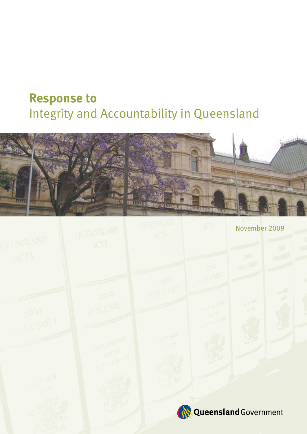# **Response to**  Integrity and Accountability in Queensland

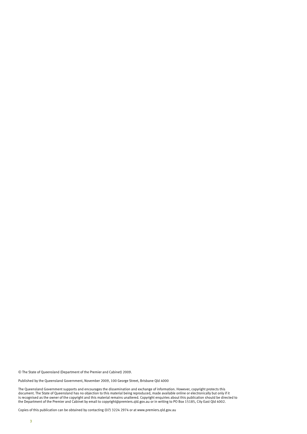© The State of Queensland (Department of the Premier and Cabinet) 2009.

Published by the Queensland Government, November 2009, 100 George Street, Brisbane Qld 4000

The Queensland Government supports and encourages the dissemination and exchange of information. However, copyright protects this document. The State of Queensland has no objection to this material being reproduced, made available online or electronically but only if it is recognised as the owner of the copyright and this material remains unaltered. Copyright enquiries about this publication should be directed to the Department of the Premier and Cabinet by email to copyright@premiers.qld.gov.au or in writing to PO Box 15185, City East Qld 4002.

Copies of this publication can be obtained by contacting (07) 3224 2974 or at www.premiers.qld.gov.au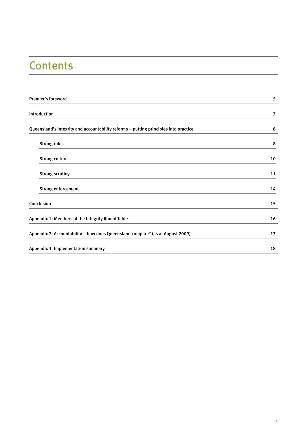## **Contents**

| <b>Premier's foreword</b>                                                            | 5  |
|--------------------------------------------------------------------------------------|----|
| Introduction                                                                         | 7  |
| Queensland's integrity and accountability reforms - putting principles into practice | 8  |
| <b>Strong rules</b>                                                                  | 8  |
| <b>Strong culture</b>                                                                | 10 |
| <b>Strong scrutiny</b>                                                               | 11 |
| <b>Strong enforcement</b>                                                            | 14 |
| Conclusion                                                                           | 15 |
| Appendix 1: Members of the Integrity Round Table                                     | 16 |
| Appendix 2: Accountability - how does Queensland compare? (as at August 2009)        | 17 |
| Appendix 3: Implementation summary                                                   | 18 |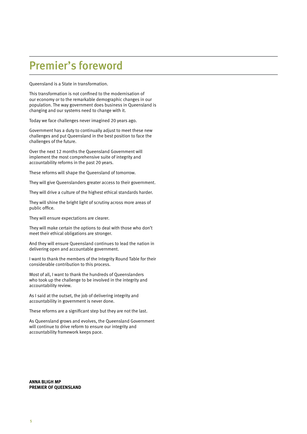## Premier's foreword

Queensland is a State in transformation.

This transformation is not confined to the modernisation of our economy or to the remarkable demographic changes in our population. The way government does business in Queensland is changing and our systems need to change with it.

Today we face challenges never imagined 20 years ago.

Government has a duty to continually adjust to meet these new challenges and put Queensland in the best position to face the challenges of the future.

Over the next 12 months the Queensland Government will implement the most comprehensive suite of integrity and accountability reforms in the past 20 years.

These reforms will shape the Queensland of tomorrow.

They will give Queenslanders greater access to their government.

They will drive a culture of the highest ethical standards harder.

They will shine the bright light of scrutiny across more areas of public office.

They will ensure expectations are clearer.

They will make certain the options to deal with those who don't meet their ethical obligations are stronger.

And they will ensure Queensland continues to lead the nation in delivering open and accountable government.

I want to thank the members of the Integrity Round Table for their considerable contribution to this process.

Most of all, I want to thank the hundreds of Queenslanders who took up the challenge to be involved in the integrity and accountability review.

As I said at the outset, the job of delivering integrity and accountability in government is never done.

These reforms are a significant step but they are not the last.

As Queensland grows and evolves, the Queensland Government will continue to drive reform to ensure our integrity and accountability framework keeps pace.

**ANNA BLIGH MP PREMIER OF QUEENSLAND**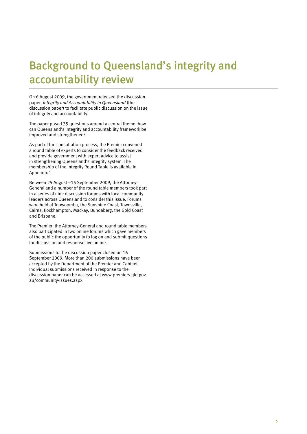## Background to Queensland's integrity and accountability review

On 6 August 2009, the government released the discussion paper, *Integrity and Accountability in Queensland* (the discussion paper) to facilitate public discussion on the issue of integrity and accountability.

The paper posed 35 questions around a central theme: how can Queensland's integrity and accountability framework be improved and strengthened?

As part of the consultation process, the Premier convened a round table of experts to consider the feedback received and provide government with expert advice to assist in strengthening Queensland's integrity system. The membership of the Integrity Round Table is available in Appendix 1.

Between 25 August –15 September 2009, the Attorney-General and a number of the round table members took part in a series of nine discussion forums with local community leaders across Queensland to consider this issue. Forums were held at Toowoomba, the Sunshine Coast, Townsville, Cairns, Rockhampton, Mackay, Bundaberg, the Gold Coast and Brisbane.

The Premier, the Attorney-General and round table members also participated in two online forums which gave members of the public the opportunity to log on and submit questions for discussion and response live online.

Submissions to the discussion paper closed on 16 September 2009. More than 200 submissions have been accepted by the Department of the Premier and Cabinet. Individual submissions received in response to the discussion paper can be accessed at [www.premiers.qld.gov.](http://www.premiers.qld.gov.au/community-issues.aspx) [au/community-issues.aspx](http://www.premiers.qld.gov.au/community-issues.aspx)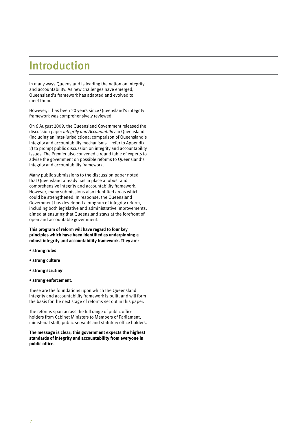## Introduction

In many ways Queensland is leading the nation on integrity and accountability. As new challenges have emerged, Queensland's framework has adapted and evolved to meet them.

However, it has been 20 years since Queensland's integrity framework was comprehensively reviewed.

On 6 August 2009, the Queensland Government released the discussion paper *Integrity and Accountability* in Queensland (including an inter-jurisdictional comparison of Queensland's integrity and accountability mechanisms – refer to Appendix 2) to prompt public discussion on integrity and accountability issues. The Premier also convened a round table of experts to advise the government on possible reforms to Queensland's integrity and accountability framework.

Many public submissions to the discussion paper noted that Queensland already has in place a robust and comprehensive integrity and accountability framework. However, many submissions also identified areas which could be strengthened. In response, the Queensland Government has developed a program of integrity reform, including both legislative and administrative improvements, aimed at ensuring that Queensland stays at the forefront of open and accountable government.

**This program of reform will have regard to four key principles which have been identified as underpinning a robust integrity and accountability framework. They are:**

- **strong rules**
- **strong culture**
- **strong scrutiny**
- **strong enforcement.**

These are the foundations upon which the Queensland integrity and accountability framework is built, and will form the basis for the next stage of reforms set out in this paper.

The reforms span across the full range of public office holders from Cabinet Ministers to Members of Parliament, ministerial staff, public servants and statutory office holders.

**The message is clear; this government expects the highest standards of integrity and accountability from everyone in public office.**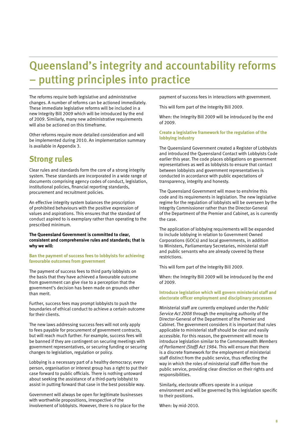## Queensland's integrity and accountability reforms – putting principles into practice

The reforms require both legislative and administrative changes. A number of reforms can be actioned immediately. These immediate legislative reforms will be included in a new Integrity Bill 2009 which will be introduced by the end of 2009. Similarly, many new administrative requirements will also be actioned on this timeframe.

Other reforms require more detailed consideration and will be implemented during 2010. An implementation summary is available in Appendix 3.

### **Strong rules**

Clear rules and standards form the core of a strong integrity system. These standards are incorporated in a wide range of documents comprising agency codes of conduct, legislation, institutional policies, financial reporting standards, procurement and recruitment policies.

An effective integrity system balances the proscription of prohibited behaviours with the positive expression of values and aspirations. This ensures that the standard of conduct aspired to is exemplary rather than operating to the prescribed minimum.

**The Queensland Government is committed to clear, consistent and comprehensive rules and standards; that is why we will:**

**Ban the payment of success fees to lobbyists for achieving favourable outcomes from government**

The payment of success fees to third party lobbyists on the basis that they have achieved a favourable outcome from government can give rise to a perception that the government's decision has been made on grounds other than merit.

Further, success fees may prompt lobbyists to push the boundaries of ethical conduct to achieve a certain outcome for their clients.

The new laws addressing success fees will not only apply to fees payable for procurement of government contracts, but will reach much further. For example, success fees will be banned if they are contingent on securing meetings with government representatives, or securing funding or securing changes to legislation, regulation or policy.

Lobbying is a necessary part of a healthy democracy; every person, organisation or interest group has a right to put their case forward to public officials. There is nothing untoward about seeking the assistance of a third-party lobbyist to assist in putting forward that case in the best possible way.

Government will always be open for legitimate businesses with worthwhile propositions, irrespective of the involvement of lobbyists. However, there is no place for the payment of success fees in interactions with government.

This will form part of the Integrity Bill 2009.

When: the Integrity Bill 2009 will be introduced by the end of 2009.

### **Create a legislative framework for the regulation of the lobbying industry**

The Queensland Government created a Register of Lobbyists and introduced the Queensland Contact with Lobbyists Code earlier this year. The code places obligations on government representatives as well as lobbyists to ensure that contact between lobbyists and government representatives is conducted in accordance with public expectations of transparency, integrity and honesty.

The Queensland Government will move to enshrine this code and its requirements in legislation. The new legislative regime for the regulation of lobbyists will be overseen by the Integrity Commissioner rather than the Director-General of the Department of the Premier and Cabinet, as is currently the case.

The application of lobbying requirements will be expanded to include lobbying in relation to Government Owned Corporations (GOCs) and local governments, in addition to Ministers, Parliamentary Secretaries, ministerial staff and public servants who are already covered by these restrictions.

This will form part of the Integrity Bill 2009.

When: the Integrity Bill 2009 will be introduced by the end of 2009.

**Introduce legislation which will govern ministerial staff and electorate officer employment and disciplinary processes**

Ministerial staff are currently employed under the *Public Service Act 2008* through the employing authority of the Director-General of the Department of the Premier and Cabinet. The government considers it is important that rules applicable to ministerial staff should be clear and easily accessible. For this reason, the government will move to introduce legislation similar to the Commonwealth *Members of Parliament (Staff) Act 1984*. This will ensure that there is a discrete framework for the employment of ministerial staff distinct from the public service, thus reflecting the way in which the roles of ministerial staff differ from the public service, providing clear direction on their rights and responsibilities.

Similarly, electorate officers operate in a unique environment and will be governed by this legislation specific to their positions.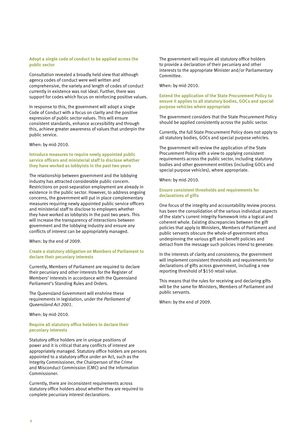### **Adopt a single code of conduct to be applied across the public sector**

Consultation revealed a broadly held view that although agency codes of conduct were well written and comprehensive, the variety and length of codes of conduct currently in existence was not ideal. Further, there was support for codes which focus on reinforcing positive values.

In response to this, the government will adopt a single Code of Conduct with a focus on clarity and the positive expression of public sector values. This will ensure consistent standards, enhance accessibility and through this, achieve greater awareness of values that underpin the public service.

### When: by mid-2010.

### **Introduce measures to require newly appointed public service officers and ministerial staff to disclose whether they have worked as lobbyists in the past two years**

The relationship between government and the lobbying industry has attracted considerable public concern. Restrictions on post-separation employment are already in existence in the public sector. However, to address ongoing concerns, the government will put in place complementary measures requiring newly appointed public service officers and ministerial staff to disclose to employers whether they have worked as lobbyists in the past two years. This will increase the transparency of interactions between government and the lobbying industry and ensure any conflicts of interest can be appropriately managed.

### When: by the end of 2009.

### **Create a statutory obligation on Members of Parliament to declare their pecuniary interests**

Currently, Members of Parliament are required to declare their pecuniary and other interests for the Register of Members' Interests in accordance with the Queensland Parliament's Standing Rules and Orders.

The Queensland Government will enshrine these requirements in legislation, under the *Parliament of Queensland Act 2001*.

When: by mid-2010.

### **Require all statutory office holders to declare their pecuniary interests**

Statutory office holders are in unique positions of power and it is critical that any conflicts of interest are appropriately managed. Statutory office holders are persons appointed to a statutory office under an Act, such as the Integrity Commissioner, the Chairperson of the Crime and Misconduct Commission (CMC) and the Information Commissioner.

Currently, there are inconsistent requirements across statutory office holders about whether they are required to complete pecuniary interest declarations.

The government will require all statutory office holders to provide a declaration of their pecuniary and other interests to the appropriate Minister and/or Parliamentary Committee.

When: by mid-2010.

### **Extend the application of the State Procurement Policy to ensure it applies to all statutory bodies, GOCs and special purpose vehicles where appropriate**

The government considers that the State Procurement Policy should be applied consistently across the public sector.

Currently, the full State Procurement Policy does not apply to all statutory bodies, GOCs and special purpose vehicles.

The government will review the application of the State Procurement Policy with a view to applying consistent requirements across the public sector, including statutory bodies and other government entities (including GOCs and special purpose vehicles), where appropriate.

When: by mid-2010.

### **Ensure consistent thresholds and requirements for declarations of gifts**

One focus of the integrity and accountability review process has been the consolidation of the various individual aspects of the state's current integrity framework into a logical and coherent whole. Existing discrepancies between the gift policies that apply to Ministers, Members of Parliament and public servants obscure the whole-of-government ethos underpinning the various gift and benefit policies and detract from the message such policies intend to generate.

In the interests of clarity and consistency, the government will implement consistent thresholds and requirements for declarations of gifts across government, including a new reporting threshold of \$150 retail value.

This means that the rules for receiving and declaring gifts will be the same for Ministers, Members of Parliament and public servants.

When: by the end of 2009.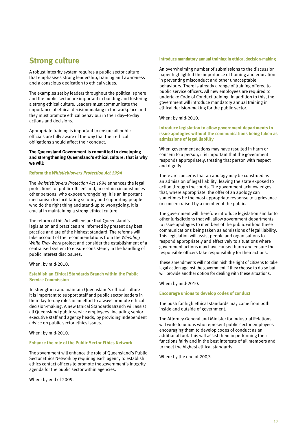### **Strong culture**

A robust integrity system requires a public sector culture that emphasises strong leadership, training and awareness and a conscious dedication to ethical values.

The examples set by leaders throughout the political sphere and the public sector are important in building and fostering a strong ethical culture. Leaders must communicate the importance of ethical decision-making in the workplace and they must promote ethical behaviour in their day–to-day actions and decisions.

Appropriate training is important to ensure all public officials are fully aware of the way that their ethical obligations should affect their conduct.

### **The Queensland Government is committed to developing and strengthening Queensland's ethical culture; that is why we will:**

#### **Reform the** *Whistleblowers Protection Act 1994*

The *Whistleblowers Protection Act 1994* enhances the legal protections for public officers and, in certain circumstances other persons, who expose wrongdoing. It is an important mechanism for facilitating scrutiny and supporting people who do the right thing and stand-up to wrongdoing. It is crucial in maintaining a strong ethical culture.

The reform of this Act will ensure that Queensland's legislation and practices are informed by present day best practice and are of the highest standard. The reforms will take account of the recommendations from the *Whistling While They Work* project and consider the establishment of a centralised system to ensure consistency in the handling of public interest disclosures.

When: by mid-2010.

### **Establish an Ethical Standards Branch within the Public Service Commission**

To strengthen and maintain Queensland's ethical culture it is important to support staff and public sector leaders in their day-to-day roles in an effort to always promote ethical decision-making. A new Ethical Standards Branch will assist all Queensland public service employees, including senior executive staff and agency heads, by providing independent advice on public sector ethics issues.

When: by mid-2010.

### **Enhance the role of the Public Sector Ethics Network**

The government will enhance the role of Queensland's Public Sector Ethics Network by requiring each agency to establish ethics contact officers to promote the government's integrity agenda for the public sector within agencies.

When: by end of 2009.

#### **Introduce mandatory annual training in ethical decision-making**

An overwhelming number of submissions to the discussion paper highlighted the importance of training and education in preventing misconduct and other unacceptable behaviours. There is already a range of training offered to public service officers. All new employees are required to undertake Code of Conduct training. In addition to this, the government will introduce mandatory annual training in ethical decision-making for the public sector.

When: by mid-2010.

### **Introduce legislation to allow government departments to issue apologies without the communications being taken as admissions of legal liability**

When government actions may have resulted in harm or concern to a person, it is important that the government responds appropriately, treating that person with respect and dignity.

There are concerns that an apology may be construed as an admission of legal liability, leaving the state exposed to action through the courts. The government acknowledges that, where appropriate, the offer of an apology can sometimes be the most appropriate response to a grievance or concern raised by a member of the public.

The government will therefore introduce legislation similar to other jurisdictions that will allow government departments to issue apologies to members of the public without these communications being taken as admissions of legal liability. This legislation will assist people and organisations to respond appropriately and effectively to situations where government actions may have caused harm and ensure the responsible officers take responsibility for their actions.

These amendments will not diminish the right of citizens to take legal action against the government if they choose to do so but will provide another option for dealing with these situations.

When: by mid-2010.

**Encourage unions to develop codes of conduct**

The push for high ethical standards may come from both inside and outside of government.

The Attorney-General and Minister for Industrial Relations will write to unions who represent public sector employees encouraging them to develop codes of conduct as an additional tool. This will assist them in performing their functions fairly and in the best interests of all members and to meet the highest ethical standards.

When: by the end of 2009.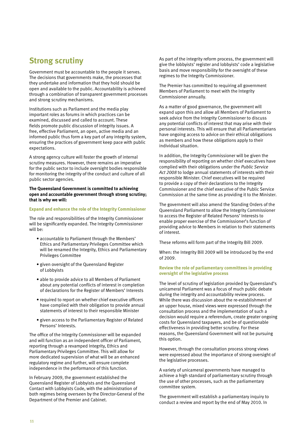### **Strong scrutiny**

Government must be accountable to the people it serves. The decisions that governments make, the processes that they undertake and information that they hold should be open and available to the public. Accountability is achieved through a combination of transparent government processes and strong scrutiny mechanisms.

Institutions such as Parliament and the media play important roles as forums in which practices can be examined, discussed and called to account. These fields promote public discussion of integrity issues. A free, effective Parliament, an open, active media and an informed public thus form a key part of any integrity system, ensuring the practices of government keep pace with public expectations.

A strong agency culture will foster the growth of internal scrutiny measures. However, there remains an imperative for the public sector to include oversight bodies responsible for monitoring the integrity of the conduct and culture of all public sector agencies.

**The Queensland Government is committed to achieving open and accountable government through strong scrutiny; that is why we will:** 

### **Expand and enhance the role of the Integrity Commissioner**

The role and responsibilities of the Integrity Commissioner will be significantly expanded. The Integrity Commissioner will be:

- accountable to Parliament through the Members' Ethics and Parliamentary Privileges Committee which will be renamed the Integrity, Ethics and Parliamentary Privileges Committee
- given oversight of the Queensland Register of Lobbyists
- able to provide advice to all Members of Parliament about any potential conflicts of interest in completion of declarations for the Register of Members' Interests
- required to report on whether chief executive officers have complied with their obligation to provide annual statements of interest to their responsible Minister
- given access to the Parliamentary Register of Related Persons' Interests.

The office of the Integrity Commissioner will be expanded and will function as an independent officer of Parliament, reporting through a revamped Integrity, Ethics and Parliamentary Privileges Committee. This will allow for more dedicated supervision of what will be an enhanced regulatory regime and further, will ensure complete independence in the performance of this function.

In February 2009, the government established the Queensland Register of Lobbyists and the Queensland Contact with Lobbyists Code, with the administration of both regimes being overseen by the Director-General of the Department of the Premier and Cabinet.

As part of the integrity reform process, the government will give the lobbyists' register and lobbyists' code a legislative basis and move responsibility for the oversight of these regimes to the Integrity Commissioner.

The Premier has committed to requiring all government Members of Parliament to meet with the Integrity Commissioner annually.

As a matter of good governance, the government will expand upon this and allow all Members of Parliament to seek advice from the Integrity Commissioner to discuss any potential conflicts of interest that may arise with their personal interests. This will ensure that all Parliamentarians have ongoing access to advice on their ethical obligations as members and how these obligations apply to their individual situation.

In addition, the Integrity Commissioner will be given the responsibility of reporting on whether chief executives have complied with their obligations under the *Public Service Act 2008* to lodge annual statements of interests with their responsible Minister. Chief executives will be required to provide a copy of their declarations to the Integrity Commissioner and the chief executive of the Public Service Commission at the same time as providing it to the Minister.

The government will also amend the Standing Orders of the Queensland Parliament to allow the Integrity Commissioner to access the Register of Related Persons' Interests to enable proper exercise of the Commissioner's function of providing advice to Members in relation to their statements of interest.

These reforms will form part of the Integrity Bill 2009.

When: the Integrity Bill 2009 will be introduced by the end of 2009.

### **Review the role of parliamentary committees in providing oversight of the legislative process**

The level of scrutiny of legislation provided by Queensland's unicameral Parliament was a focus of much public debate during the integrity and accountability review process. While there was discussion about the re-establishment of an upper house, mixed views were expressed through the consultation process and the implementation of such a decision would require a referendum, create greater ongoing costs for Queensland taxpayers, and be of questionable effectiveness in providing better scrutiny. For these reasons, the Queensland Government will not be pursuing this option.

However, through the consultation process strong views were expressed about the importance of strong oversight of the legislative processes.

A variety of unicameral governments have managed to achieve a high standard of parliamentary scrutiny through the use of other processes, such as the parliamentary committee system.

The government will establish a parliamentary inquiry to conduct a review and report by the end of May 2010. In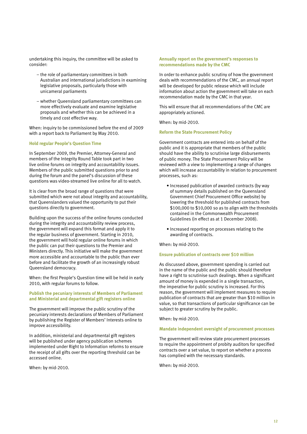undertaking this inquiry, the committee will be asked to consider:

- the role of parliamentary committees in both Australian and international jurisdictions in examining legislative proposals, particularly those with unicameral parliaments
- whether Queensland parliamentary committees can more effectively evaluate and examine legislative proposals and whether this can be achieved in a timely and cost effective way.

When: inquiry to be commissioned before the end of 2009 with a report back to Parliament by May 2010.

### **Hold regular People's Question Time**

In September 2009, the Premier, Attorney-General and members of the Integrity Round Table took part in two live online forums on integrity and accountability issues. Members of the public submitted questions prior to and during the forum and the panel's discussion of these questions was video-streamed live online for all to watch.

It is clear from the broad range of questions that were submitted which were not about integrity and accountability, that Queenslanders valued the opportunity to put their questions directly to government.

Building upon the success of the online forums conducted during the integrity and accountability review process, the government will expand this format and apply it to the regular business of government. Starting in 2010, the government will hold regular online forums in which the public can put their questions to the Premier and Ministers directly. This initiative will make the government more accessible and accountable to the public than ever before and facilitate the growth of an increasingly robust Queensland democracy.

When: the first People's Question time will be held in early 2010, with regular forums to follow.

### **Publish the pecuniary interests of Members of Parliament and Ministerial and departmental gift registers online**

The government will improve the public scrutiny of the pecuniary interests declarations of Members of Parliament by publishing the Register of Members' Interests online to improve accessibility.

In addition, ministerial and departmental gift registers will be published under agency publication schemes implemented under Right to Information reforms to ensure the receipt of all gifts over the reporting threshold can be accessed online.

When: by mid-2010.

### **Annually report on the government's responses to recommendations made by the CMC**

In order to enhance public scrutiny of how the government deals with recommendations of the CMC, an annual report will be developed for public release which will include information about action the government will take on each recommendation made by the CMC in that year.

This will ensure that all recommendations of the CMC are appropriately actioned.

When: by mid-2010.

### **Reform the State Procurement Policy**

Government contracts are entered into on behalf of the public and it is appropriate that members of the public should have the ability to scrutinise large disbursements of public money. The State Procurement Policy will be reviewed with a view to implementing a range of changes which will increase accountability in relation to procurement processes, such as:

- Increased publication of awarded contracts (by way of summary details published on the Queensland Government Chief Procurement Office website) by lowering the threshold for published contracts from \$100,000 to \$10,000 so as to align with the thresholds contained in the Commonwealth Procurement Guidelines (in effect as at 1 December 2008).
- Increased reporting on processes relating to the awarding of contracts.

When: by mid-2010.

### **Ensure publication of contracts over \$10 million**

As discussed above, government spending is carried out in the name of the public and the public should therefore have a right to scrutinise such dealings. When a significant amount of money is expended in a single transaction, the imperative for public scrutiny is increased. For this reason, the government will implement measures to require publication of contracts that are greater than \$10 million in value, so that transactions of particular significance can be subject to greater scrutiny by the public.

When: by mid-2010.

### **Mandate independent oversight of procurement processes**

The government will review state procurement processes to require the appointment of probity auditors for specified contracts over a set value, to report on whether a process has complied with the necessary standards.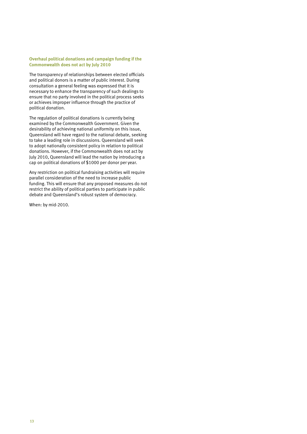### **Overhaul political donations and campaign funding if the Commonwealth does not act by July 2010**

The transparency of relationships between elected officials and political donors is a matter of public interest. During consultation a general feeling was expressed that it is necessary to enhance the transparency of such dealings to ensure that no party involved in the political process seeks or achieves improper influence through the practice of political donation.

The regulation of political donations is currently being examined by the Commonwealth Government. Given the desirability of achieving national uniformity on this issue, Queensland will have regard to the national debate, seeking to take a leading role in discussions. Queensland will seek to adopt nationally consistent policy in relation to political donations. However, if the Commonwealth does not act by July 2010, Queensland will lead the nation by introducing a cap on political donations of \$1000 per donor per year.

Any restriction on political fundraising activities will require parallel consideration of the need to increase public funding. This will ensure that any proposed measures do not restrict the ability of political parties to participate in public debate and Queensland's robust system of democracy.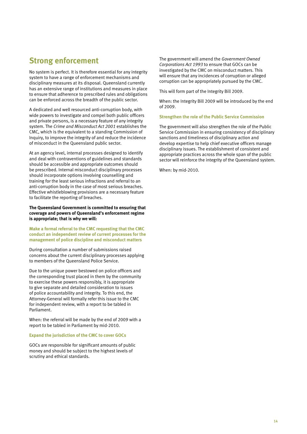### **Strong enforcement**

No system is perfect. It is therefore essential for any integrity system to have a range of enforcement mechanisms and disciplinary measures at its disposal. Queensland currently has an extensive range of institutions and measures in place to ensure that adherence to prescribed rules and obligations can be enforced across the breadth of the public sector.

A dedicated and well resourced anti-corruption body, with wide powers to investigate and compel both public officers and private persons, is a necessary feature of any integrity system. The *Crime and Misconduct Act 2001* establishes the CMC, which is the equivalent to a standing Commission of Inquiry, to improve the integrity of and reduce the incidence of misconduct in the Queensland public sector.

At an agency level, internal processes designed to identify and deal with contraventions of guidelines and standards should be accessible and appropriate outcomes should be prescribed. Internal misconduct disciplinary processes should incorporate options involving counselling and training for the least serious infractions and referral to an anti-corruption body in the case of most serious breaches. Effective whistleblowing provisions are a necessary feature to facilitate the reporting of breaches.

**The Queensland Government is committed to ensuring that coverage and powers of Queensland's enforcement regime is appropriate; that is why we will:**

**Make a formal referral to the CMC requesting that the CMC conduct an independent review of current processes for the management of police discipline and misconduct matters**

During consultation a number of submissions raised concerns about the current disciplinary processes applying to members of the Queensland Police Service.

Due to the unique power bestowed on police officers and the corresponding trust placed in them by the community to exercise these powers responsibly, it is appropriate to give separate and detailed consideration to issues of police accountability and integrity. To this end, the Attorney-General will formally refer this issue to the CMC for independent review, with a report to be tabled in Parliament.

When: the referral will be made by the end of 2009 with a report to be tabled in Parliament by mid-2010.

#### **Expand the jurisdiction of the CMC to cover GOCs**

GOCs are responsible for significant amounts of public money and should be subject to the highest levels of scrutiny and ethical standards.

The government will amend the *Government Owned Corporations Act 1993* to ensure that GOCs can be investigated by the CMC on misconduct matters. This will ensure that any incidences of corruption or alleged corruption can be appropriately pursued by the CMC.

This will form part of the Integrity Bill 2009.

When: the Integrity Bill 2009 will be introduced by the end of 2009.

**Strengthen the role of the Public Service Commission**

The government will also strengthen the role of the Public Service Commission in ensuring consistency of disciplinary sanctions and timeliness of disciplinary action and develop expertise to help chief executive officers manage disciplinary issues. The establishment of consistent and appropriate practices across the whole span of the public sector will reinforce the integrity of the Queensland system.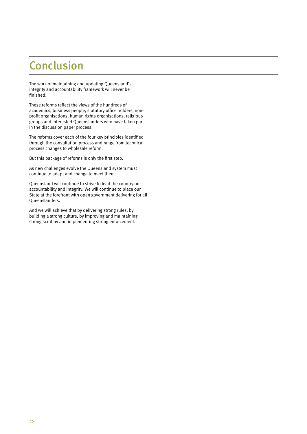## Conclusion

The work of maintaining and updating Queensland's integrity and accountability framework will never be finished.

These reforms reflect the views of the hundreds of academics, business people, statutory office holders, nonprofit organisations, human rights organisations, religious groups and interested Queenslanders who have taken part in the discussion paper process.

The reforms cover each of the four key principles identified through the consultation process and range from technical process changes to wholesale reform.

But this package of reforms is only the first step.

As new challenges evolve the Queensland system must continue to adapt and change to meet them.

Queensland will continue to strive to lead the country on accountability and integrity. We will continue to place our State at the forefront with open government delivering for all Queenslanders.

And we will achieve that by delivering strong rules, by building a strong culture, by improving and maintaining strong scrutiny and implementing strong enforcement.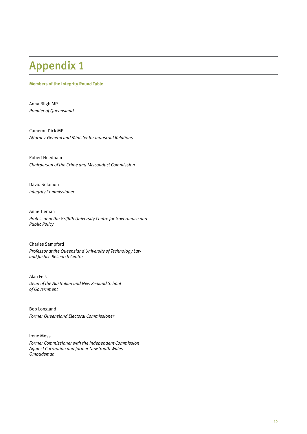## Appendix 1

### **Members of the Integrity Round Table**

Anna Bligh MP *Premier of Queensland*

Cameron Dick MP *Attorney-General and Minister for Industrial Relations*

Robert Needham *Chairperson of the Crime and Misconduct Commission*

David Solomon *Integrity Commissioner*

Anne Tiernan *Professor at the Griffith University Centre for Governance and Public Policy* 

Charles Sampford *Professor at the Queensland University of Technology Law and Justice Research Centre*

Alan Fels *Dean of the Australian and New Zealand School of Government*

Bob Longland *Former Queensland Electoral Commissioner*

Irene Moss *Former Commissioner with the Independent Commission Against Corruption and former New South Wales Ombudsman*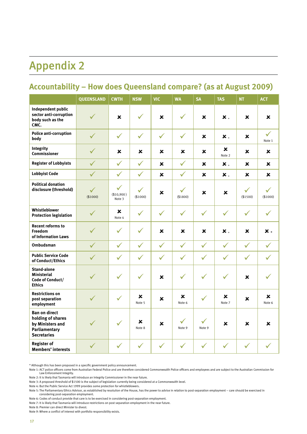## Appendix 2

### **Accountability – How does Queensland compare? (as at August 2009)**

|                                                                                                      | <b>QUEENSLAND</b>        | <b>CWTH</b>                          | <b>NSW</b>    | <b>VIC</b>     | <b>WA</b>                | <b>SA</b>              | <b>TAS</b>         | <b>NT</b>                | <b>ACT</b>               |
|------------------------------------------------------------------------------------------------------|--------------------------|--------------------------------------|---------------|----------------|--------------------------|------------------------|--------------------|--------------------------|--------------------------|
| Independent public<br>sector anti-corruption<br>body such as the<br>CMC.                             | $\checkmark$             | $\mathbf x$                          | $\checkmark$  | x              | $\checkmark$             | ×                      | $\boldsymbol{x}$ . | ×                        | x                        |
| Police anti-corruption<br>body                                                                       | $\checkmark$             | $\checkmark$                         | $\checkmark$  | $\checkmark$   | $\checkmark$             | ×                      | $\boldsymbol{x}$ . | ×                        | $\checkmark$<br>Note 1   |
| Integrity<br><b>Commissioner</b>                                                                     | $\checkmark$             | ×                                    | ×             | x              | x                        | ×                      | x<br>Note 2        | ×                        | x                        |
| <b>Register of Lobbyists</b>                                                                         | $\checkmark$             | $\checkmark$                         | $\checkmark$  | ×              | $\checkmark$             | $\mathbf x$            | ×.                 | $\mathbf x$              | x                        |
| <b>Lobbyist Code</b>                                                                                 | $\checkmark$             | $\checkmark$                         | $\checkmark$  | $\mathbf x$    | $\checkmark$             | ×                      | $\boldsymbol{x}$ . | ×                        | x                        |
| <b>Political donation</b><br>disclosure (threshold)                                                  | $\checkmark$<br>(\$1000) | $\checkmark$<br>(\$10,900)<br>Note 3 | ✓<br>(\$1000) | $\pmb{\times}$ | $\checkmark$<br>(\$1800) | ×                      | x                  | $\checkmark$<br>(\$1500) | $\checkmark$<br>(\$1000) |
| Whistleblower<br><b>Protection legislation</b>                                                       | $\checkmark$             | ×<br>Note 4                          | $\checkmark$  | $\checkmark$   | $\checkmark$             | $\checkmark$           | $\checkmark$       | $\checkmark$             | $\checkmark$             |
| <b>Recent reforms to</b><br>Freedom<br>of Information Laws                                           | $\checkmark$             | $\checkmark$                         | $\checkmark$  | ×              | x                        | ×                      | $\mathbf{x}$ ,     | ×                        | × ×                      |
| <b>Ombudsman</b>                                                                                     | $\checkmark$             | $\checkmark$                         | $\checkmark$  | $\checkmark$   | $\checkmark$             | $\checkmark$           | $\checkmark$       | $\checkmark$             | $\checkmark$             |
| <b>Public Service Code</b><br>of Conduct/Ethics                                                      | $\checkmark$             | $\checkmark$                         | $\checkmark$  | $\checkmark$   | $\checkmark$             | $\checkmark$           | $\checkmark$       | $\checkmark$             | $\checkmark$             |
| <b>Stand-alone</b><br><b>Ministerial</b><br>Code of Conduct/<br><b>Ethics</b>                        | $\checkmark$             | $\checkmark$                         | $\checkmark$  | ×              | $\checkmark$             | $\checkmark$           | $\checkmark$       | ×                        |                          |
| <b>Restrictions on</b><br>post separation<br>employment                                              | $\checkmark$             | $\checkmark$                         | x<br>Note 5   | x              | x<br>Note 6              | $\checkmark$           | x<br>Note 7        | $\mathbf x$              | ×<br>Note 6              |
| <b>Ban on direct</b><br>holding of shares<br>by Ministers and<br>Parliamentary<br><b>Secretaries</b> |                          | $\checkmark$                         | x<br>Note 8   | x              | $\checkmark$<br>Note 9   | $\checkmark$<br>Note 9 | x                  | ×                        | x                        |
| <b>Register of</b><br><b>Members' interests</b>                                                      | $\checkmark$             | $\checkmark$                         | $\checkmark$  | $\checkmark$   | $\checkmark$             | $\checkmark$           | $\checkmark$       | $\checkmark$             |                          |

\* Although this has been proposed in a specific government policy announcement.

Note 1: ACT police officers come from Australian Federal Police and are therefore considered Commonwealth Police officers and employees and are subject to the Australian Commission for Law Enforcement Integrity.

Note 2: It is likely that Tasmania will introduce an Integrity Commissioner in the near future.

Note 3: A proposed threshold of \$1500 is the subject of legislation currently being considered at a Commonwealth level.

Note 4: But the Public Service Act 1999 provides some protection for whistleblowers.

Note 5: The Parliamentary Ethics Advisor, as established by resolution of the House, has the power to advise in relation to post-separation employment – care should be exercised in considering post-separation employment.

Note 6: Codes of conduct provide that care is to be exercised in considering post-separation employment.

Note 7: It is likely that Tasmania will introduce restrictions on post separation employment in the near future.

Note 8: Premier can direct Minister to divest.

Note 9: Where a conflict of interest with portfolio responsibility exists.